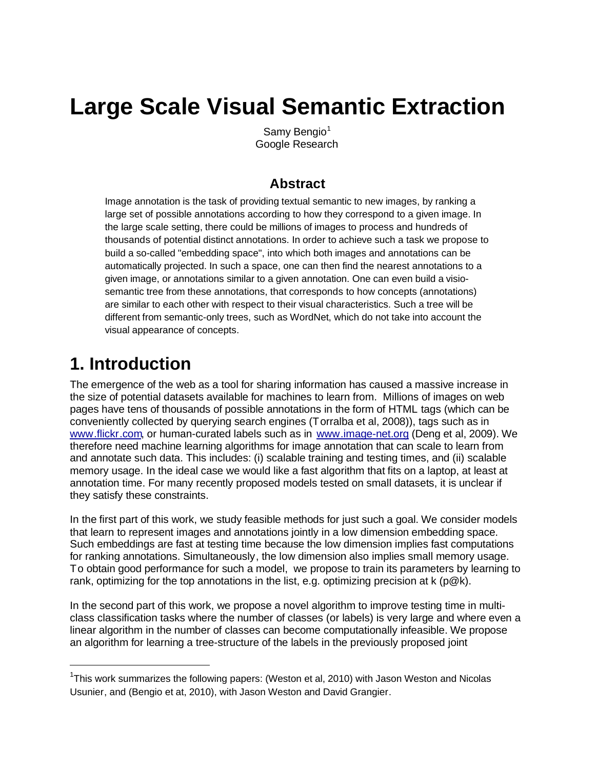# **Large Scale Visual Semantic Extraction**

Samy Bengio $1$ Google Research

#### **Abstract**

Image annotation is the task of providing textual semantic to new images, by ranking a large set of possible annotations according to how they correspond to a given image. In the large scale setting, there could be millions of images to process and hundreds of thousands of potential distinct annotations. In order to achieve such a task we propose to build a so-called "embedding space", into which both images and annotations can be automatically projected. In such a space, one can then find the nearest annotations to a given image, or annotations similar to a given annotation. One can even build a visiosemantic tree from these annotations, that corresponds to how concepts (annotations) are similar to each other with respect to their visual characteristics. Such a tree will be different from semantic-only trees, such as WordNet, which do not take into account the visual appearance of concepts.

### **1. Introduction**

The emergence of the web as a tool for sharing information has caused a massive increase in the size of potential datasets available for machines to learn from. Millions of images on web pages have tens of thousands of possible annotations in the form of HTML tags (which can be conveniently collected by querying search engines (Torralba et al, 2008)), tags such as in [www.flickr.com](http://www.flickr.com), or human-curated labels such as in [www.image-net.org](http://www.image-net.org) (Deng et al, 2009). We therefore need machine learning algorithms for image annotation that can scale to learn from and annotate such data. This includes: (i) scalable training and testing times, and (ii) scalable memory usage. In the ideal case we would like a fast algorithm that fits on a laptop, at least at annotation time. For many recently proposed models tested on small datasets, it is unclear if they satisfy these constraints.

In the first part of this work, we study feasible methods for just such a goal. We consider models that learn to represent images and annotations jointly in a low dimension embedding space. Such embeddings are fast at testing time because the low dimension implies fast computations for ranking annotations. Simultaneously, the low dimension also implies small memory usage. To obtain good performance for such a model, we propose to train its parameters by learning to rank, optimizing for the top annotations in the list, e.g. optimizing precision at  $k$  (p $@k$ ).

In the second part of this work, we propose a novel algorithm to improve testing time in multiclass classification tasks where the number of classes (or labels) is very large and where even a linear algorithm in the number of classes can become computationally infeasible. We propose an algorithm for learning a tree-structure of the labels in the previously proposed joint

<sup>&</sup>lt;sup>1</sup>This work summarizes the following papers: (Weston et al, 2010) with Jason Weston and Nicolas Usunier, and (Bengio et at, 2010), with Jason Weston and David Grangier.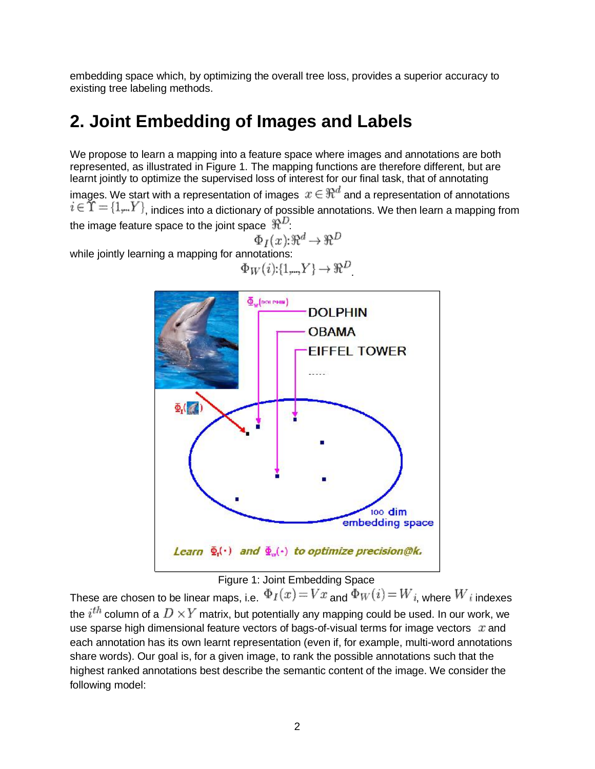embedding space which, by optimizing the overall tree loss, provides a superior accuracy to existing tree labeling methods.

## **2. Joint Embedding of Images and Labels**

We propose to learn a mapping into a feature space where images and annotations are both represented, as illustrated in Figure 1. The mapping functions are therefore different, but are learnt jointly to optimize the supervised loss of interest for our final task, that of annotating images. We start with a representation of images  $x \in \Re^d$  and a representation of annotations  $i \in \Upsilon = \{1,..Y\}$ , indices into a dictionary of possible annotations. We then learn a mapping from the image feature space to the joint space  $\mathbb{R}^D$ .

$$
r_I(x): \Re^d \to \Re^D
$$

while jointly learning a mapping for annotations:  $\Phi_W(i){:}\{1,\hspace{-4pt}.\hspace{-4pt},\hspace{-4pt}.\hspace{-4pt}\}Y\}\hspace{-4pt} \rightarrow\hspace{-4pt}\Re^D$ 





These are chosen to be linear maps, i.e.  $\Phi_I(x) = Vx$  and  $\Phi_W(i) = W_{i}$ , where  $W_i$  indexes the  $i^{th}$  column of a  $D\times Y$  matrix, but potentially any mapping could be used. In our work, we use sparse high dimensional feature vectors of bags-of-visual terms for image vectors  $x$  and each annotation has its own learnt representation (even if, for example, multi-word annotations share words). Our goal is, for a given image, to rank the possible annotations such that the highest ranked annotations best describe the semantic content of the image. We consider the following model: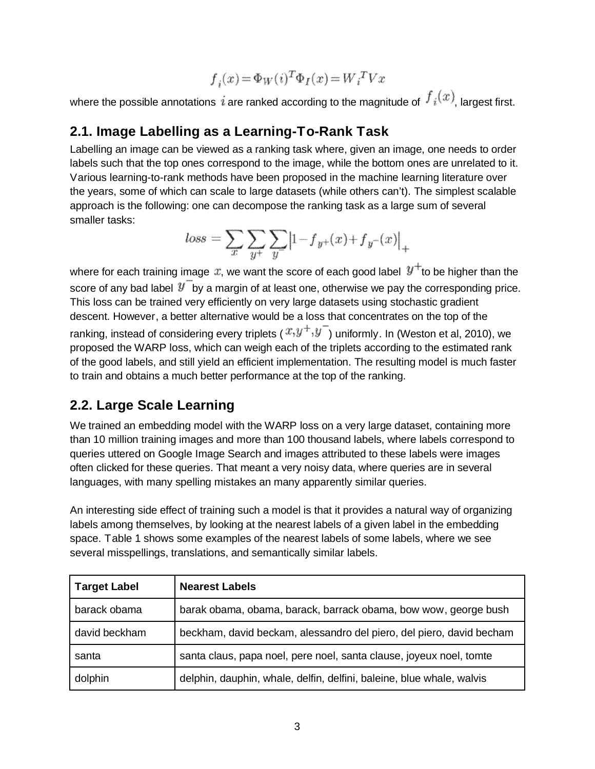$$
\boldsymbol{f}_i(\boldsymbol{x})\!=\!\boldsymbol{\Phi}_W(i)^T\boldsymbol{\Phi}_I(\boldsymbol{x})\!=\!\boldsymbol{W}_i^{\ T}\boldsymbol{V}\boldsymbol{x}
$$

where the possible annotations  $\hat{i}$  are ranked according to the magnitude of  $\int_{\hat{i}}(x)$ , largest first.

#### **2.1. Image Labelling as a Learning-To-Rank Task**

Labelling an image can be viewed as a ranking task where, given an image, one needs to order labels such that the top ones correspond to the image, while the bottom ones are unrelated to it. Various learning-to-rank methods have been proposed in the machine learning literature over the years, some of which can scale to large datasets (while others can't). The simplest scalable approach is the following: one can decompose the ranking task as a large sum of several smaller tasks:

$$
loss = \sum_{x} \sum_{y^{+}} \sum_{y} |1 - f_{y^{+}}(x) + f_{y^{-}}(x)|_{+}
$$

where for each training image  $x$ , we want the score of each good label  $y^+$  to be higher than the score of any bad label  $\mathcal{Y}$  by a margin of at least one, otherwise we pay the corresponding price. This loss can be trained very efficiently on very large datasets using stochastic gradient descent. However, a better alternative would be a loss that concentrates on the top of the ranking, instead of considering every triplets ( $x,y^+,y^-$ ) uniformly. In (Weston et al, 2010), we proposed the WARP loss, which can weigh each of the triplets according to the estimated rank of the good labels, and still yield an efficient implementation. The resulting model is much faster to train and obtains a much better performance at the top of the ranking.

#### **2.2. Large Scale Learning**

We trained an embedding model with the WARP loss on a very large dataset, containing more than 10 million training images and more than 100 thousand labels, where labels correspond to queries uttered on Google Image Search and images attributed to these labels were images often clicked for these queries. That meant a very noisy data, where queries are in several languages, with many spelling mistakes an many apparently similar queries.

An interesting side effect of training such a model is that it provides a natural way of organizing labels among themselves, by looking at the nearest labels of a given label in the embedding space. Table 1 shows some examples of the nearest labels of some labels, where we see several misspellings, translations, and semantically similar labels.

| <b>Target Label</b> | <b>Nearest Labels</b>                                                 |
|---------------------|-----------------------------------------------------------------------|
| barack obama        | barak obama, obama, barack, barrack obama, bow wow, george bush       |
| david beckham       | beckham, david beckam, alessandro del piero, del piero, david becham  |
| santa               | santa claus, papa noel, pere noel, santa clause, joyeux noel, tomte   |
| dolphin             | delphin, dauphin, whale, delfin, delfini, baleine, blue whale, walvis |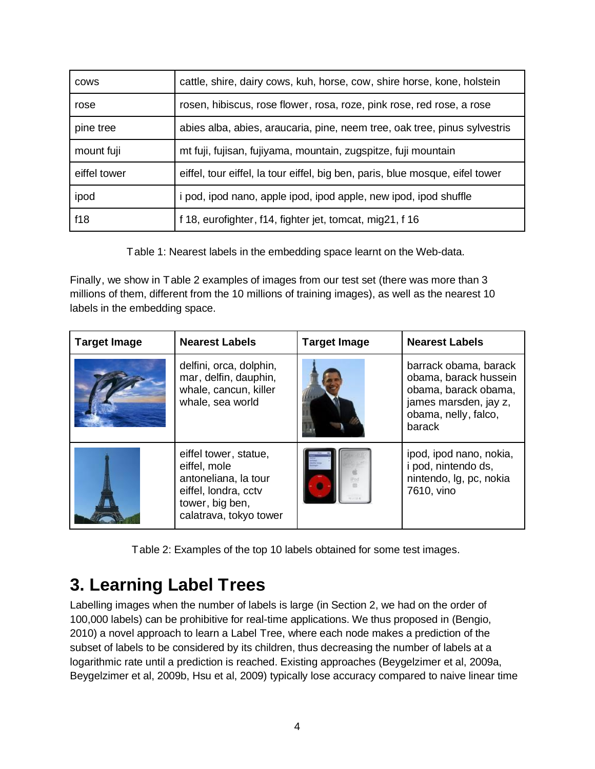| <b>COWS</b>  | cattle, shire, dairy cows, kuh, horse, cow, shire horse, kone, holstein       |
|--------------|-------------------------------------------------------------------------------|
| rose         | rosen, hibiscus, rose flower, rosa, roze, pink rose, red rose, a rose         |
| pine tree    | abies alba, abies, araucaria, pine, neem tree, oak tree, pinus sylvestris     |
| mount fuji   | mt fuji, fujisan, fujiyama, mountain, zugspitze, fuji mountain                |
| eiffel tower | eiffel, tour eiffel, la tour eiffel, big ben, paris, blue mosque, eifel tower |
| ipod         | i pod, ipod nano, apple ipod, ipod apple, new ipod, ipod shuffle              |
| f18          | f 18, eurofighter, f14, fighter jet, tomcat, mig21, f 16                      |

Table 1: Nearest labels in the embedding space learnt on the Web-data.

Finally, we show in Table 2 examples of images from our test set (there was more than 3 millions of them, different from the 10 millions of training images), as well as the nearest 10 labels in the embedding space.

| <b>Target Image</b> | <b>Nearest Labels</b>                                                                                                              | <b>Target Image</b> | <b>Nearest Labels</b>                                                                                                             |
|---------------------|------------------------------------------------------------------------------------------------------------------------------------|---------------------|-----------------------------------------------------------------------------------------------------------------------------------|
|                     | delfini, orca, dolphin,<br>mar, delfin, dauphin,<br>whale, cancun, killer<br>whale, sea world                                      |                     | barrack obama, barack<br>obama, barack hussein<br>obama, barack obama,<br>james marsden, jay z,<br>obama, nelly, falco,<br>barack |
|                     | eiffel tower, statue,<br>eiffel, mole<br>antoneliana, la tour<br>eiffel, londra, cctv<br>tower, big ben,<br>calatrava, tokyo tower |                     | ipod, ipod nano, nokia,<br>i pod, nintendo ds,<br>nintendo, Ig, pc, nokia<br>7610, vino                                           |

Table 2: Examples of the top 10 labels obtained for some test images.

## **3. Learning Label Trees**

Labelling images when the number of labels is large (in Section 2, we had on the order of 100,000 labels) can be prohibitive for real-time applications. We thus proposed in (Bengio, 2010) a novel approach to learn a Label Tree, where each node makes a prediction of the subset of labels to be considered by its children, thus decreasing the number of labels at a logarithmic rate until a prediction is reached. Existing approaches (Beygelzimer et al, 2009a, Beygelzimer et al, 2009b, Hsu et al, 2009) typically lose accuracy compared to naive linear time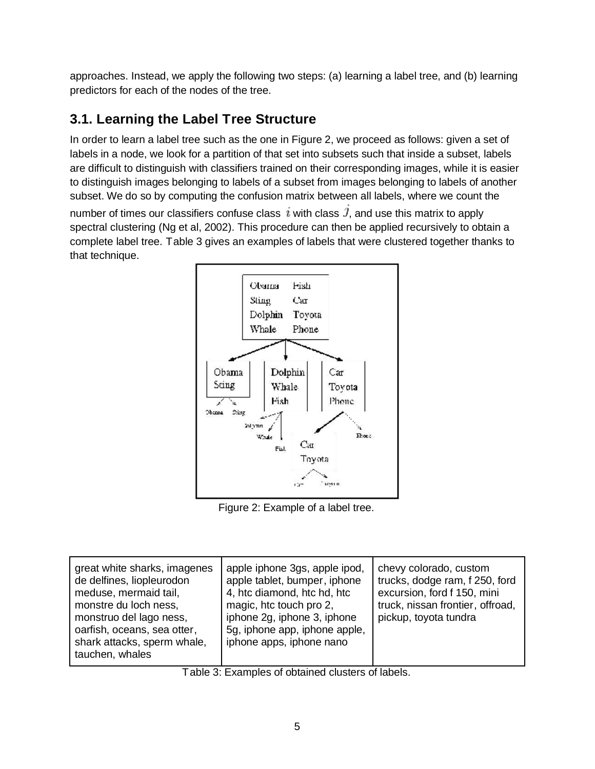approaches. Instead, we apply the following two steps: (a) learning a label tree, and (b) learning predictors for each of the nodes of the tree.

### **3.1. Learning the Label Tree Structure**

In order to learn a label tree such as the one in Figure 2, we proceed as follows: given a set of labels in a node, we look for a partition of that set into subsets such that inside a subset, labels are difficult to distinguish with classifiers trained on their corresponding images, while it is easier to distinguish images belonging to labels of a subset from images belonging to labels of another subset. We do so by computing the confusion matrix between all labels, where we count the number of times our classifiers confuse class  $i$  with class  $\hat{J}$ , and use this matrix to apply spectral clustering (Ng et al, 2002). This procedure can then be applied recursively to obtain a complete label tree. Table 3 gives an examples of labels that were clustered together thanks to that technique.



Figure 2: Example of a label tree.

| great white sharks, imagenes<br>de delfines, liopleurodon<br>meduse, mermaid tail,<br>monstre du loch ness,<br>monstruo del lago ness,<br>oarfish, oceans, sea otter,<br>shark attacks, sperm whale,<br>tauchen, whales | apple iphone 3gs, apple ipod,<br>apple tablet, bumper, iphone<br>4, htc diamond, htc hd, htc<br>magic, htc touch pro 2,<br>iphone 2g, iphone 3, iphone<br>5g, iphone app, iphone apple,<br>iphone apps, iphone nano | chevy colorado, custom<br>trucks, dodge ram, f 250, ford<br>excursion, ford f 150, mini<br>truck, nissan frontier, offroad,<br>pickup, toyota tundra |
|-------------------------------------------------------------------------------------------------------------------------------------------------------------------------------------------------------------------------|---------------------------------------------------------------------------------------------------------------------------------------------------------------------------------------------------------------------|------------------------------------------------------------------------------------------------------------------------------------------------------|
|                                                                                                                                                                                                                         |                                                                                                                                                                                                                     |                                                                                                                                                      |

Table 3: Examples of obtained clusters of labels.